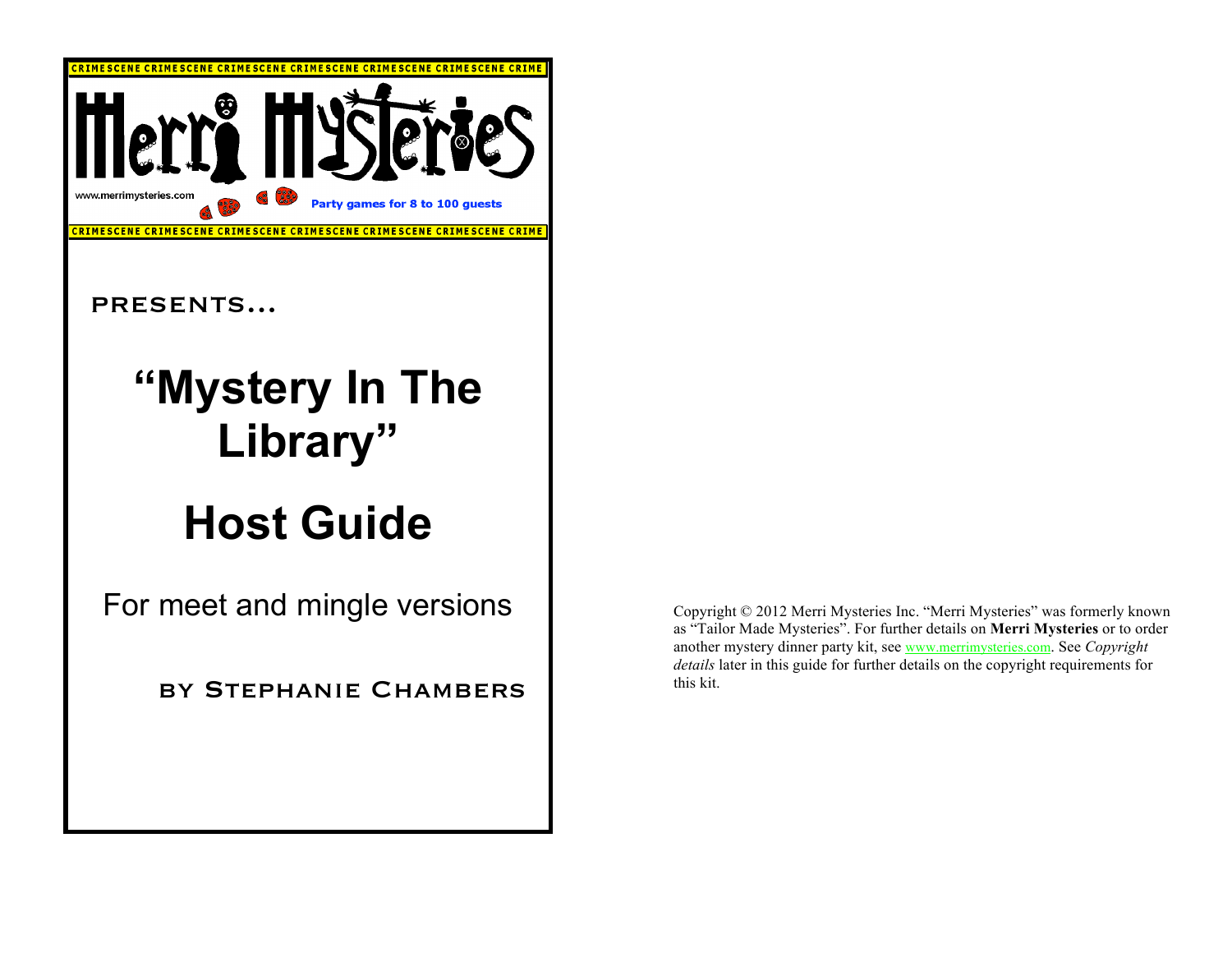

Copyright © 2012 Merri Mysteries Inc. "Merri Mysteries" was formerly known as "Tailor Made Mysteries". For further details on **Merri Mysteries** or to order another mystery dinner party kit, see www.merrimysteries.com. See *Copyright details* later in this guide for further details on the copyright requirements for this kit.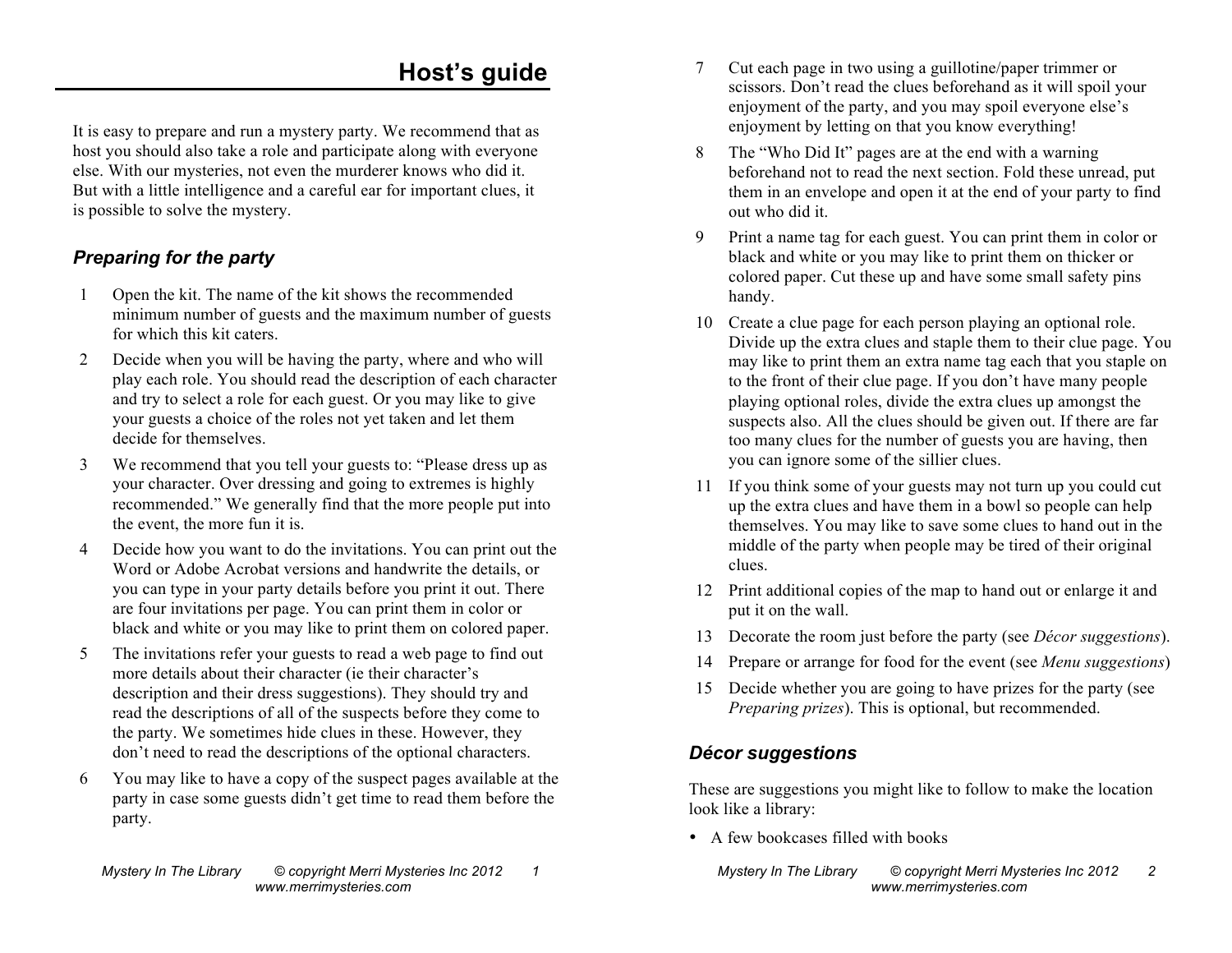## **Host's guide**

It is easy to prepare and run a mystery party. We recommend that as host you should also take a role and participate along with everyone else. With our mysteries, not even the murderer knows who did it. But with a little intelligence and a careful ear for important clues, it is possible to solve the mystery.

#### *Preparing for the party*

- 1 Open the kit. The name of the kit shows the recommended minimum number of guests and the maximum number of guests for which this kit caters.
- 2 Decide when you will be having the party, where and who will play each role. You should read the description of each character and try to select a role for each guest. Or you may like to give your guests a choice of the roles not yet taken and let them decide for themselves.
- 3 We recommend that you tell your guests to: "Please dress up as your character. Over dressing and going to extremes is highly recommended." We generally find that the more people put into the event, the more fun it is.
- 4 Decide how you want to do the invitations. You can print out the Word or Adobe Acrobat versions and handwrite the details, or you can type in your party details before you print it out. There are four invitations per page. You can print them in color or black and white or you may like to print them on colored paper.
- 5 The invitations refer your guests to read a web page to find out more details about their character (ie their character's description and their dress suggestions). They should try and read the descriptions of all of the suspects before they come to the party. We sometimes hide clues in these. However, they don't need to read the descriptions of the optional characters.
- 6 You may like to have a copy of the suspect pages available at the party in case some guests didn't get time to read them before the party.
- 7 Cut each page in two using a guillotine/paper trimmer or scissors. Don't read the clues beforehand as it will spoil your enjoyment of the party, and you may spoil everyone else's enjoyment by letting on that you know everything!
- 8 The "Who Did It" pages are at the end with a warning beforehand not to read the next section. Fold these unread, put them in an envelope and open it at the end of your party to find out who did it.
- 9 Print a name tag for each guest. You can print them in color or black and white or you may like to print them on thicker or colored paper. Cut these up and have some small safety pins handy.
- 10 Create a clue page for each person playing an optional role. Divide up the extra clues and staple them to their clue page. You may like to print them an extra name tag each that you staple on to the front of their clue page. If you don't have many people playing optional roles, divide the extra clues up amongst the suspects also. All the clues should be given out. If there are far too many clues for the number of guests you are having, then you can ignore some of the sillier clues.
- 11 If you think some of your guests may not turn up you could cut up the extra clues and have them in a bowl so people can help themselves. You may like to save some clues to hand out in the middle of the party when people may be tired of their original clues.
- 12 Print additional copies of the map to hand out or enlarge it and put it on the wall.
- 13 Decorate the room just before the party (see *Décor suggestions*).
- 14 Prepare or arrange for food for the event (see *Menu suggestions*).
- 15 Decide whether you are going to have prizes for the party (see *Preparing prizes*). This is optional, but recommended.

#### *Décor suggestions*

These are suggestions you might like to follow to make the location look like a library:

• A few bookcases filled with books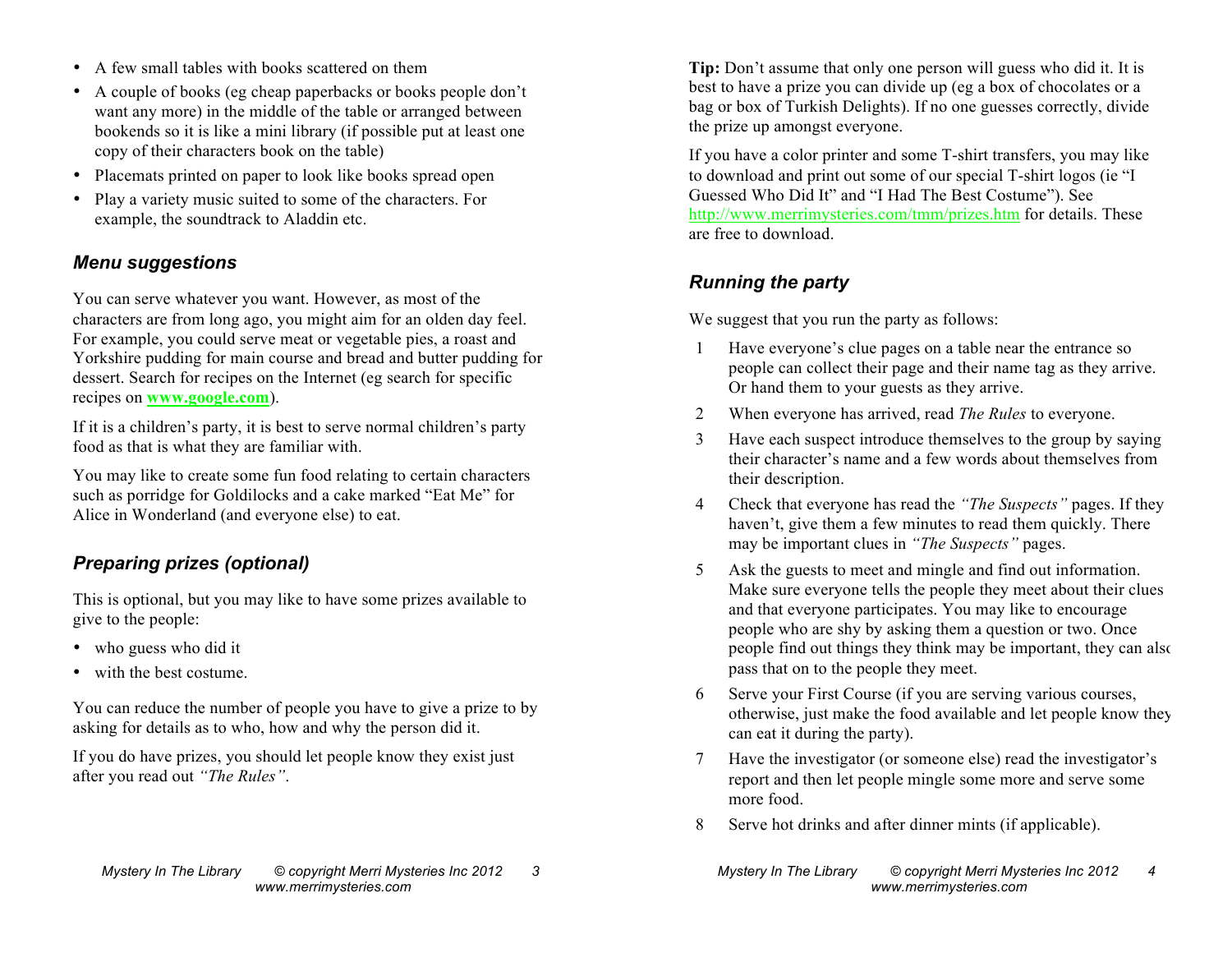- A few small tables with books scattered on them
- A couple of books (eg cheap paperbacks or books people don't want any more) in the middle of the table or arranged between bookends so it is like a mini library (if possible put at least one copy of their characters book on the table)
- Placemats printed on paper to look like books spread open
- Play a variety music suited to some of the characters. For example, the soundtrack to Aladdin etc.

#### *Menu suggestions*

You can serve whatever you want. However, as most of the characters are from long ago, you might aim for an olden day feel. For example, you could serve meat or vegetable pies, a roast and Yorkshire pudding for main course and bread and butter pudding for dessert. Search for recipes on the Internet (eg search for specific recipes on **www.google.com**).

If it is a children's party, it is best to serve normal children's party food as that is what they are familiar with.

You may like to create some fun food relating to certain characters such as porridge for Goldilocks and a cake marked "Eat Me" for Alice in Wonderland (and everyone else) to eat.

#### *Preparing prizes (optional)*

This is optional, but you may like to have some prizes available to give to the people:

- who guess who did it
- with the best costume.

You can reduce the number of people you have to give a prize to by asking for details as to who, how and why the person did it.

If you do have prizes, you should let people know they exist just after you read out *"The Rules"*.

**Tip:** Don't assume that only one person will guess who did it. It is best to have a prize you can divide up (eg a box of chocolates or a bag or box of Turkish Delights). If no one guesses correctly, divide the prize up amongst everyone.

If you have a color printer and some T-shirt transfers, you may like to download and print out some of our special T-shirt logos (ie "I Guessed Who Did It" and "I Had The Best Costume"). See http://www.merrimysteries.com/tmm/prizes.htm for details. These are free to download.

### *Running the party*

We suggest that you run the party as follows:

- 1 Have everyone's clue pages on a table near the entrance so people can collect their page and their name tag as they arrive. Or hand them to your guests as they arrive.
- 2 When everyone has arrived, read *The Rules* to everyone.
- 3 Have each suspect introduce themselves to the group by saying their character's name and a few words about themselves from their description.
- 4 Check that everyone has read the *"The Suspects"* pages. If they haven't, give them a few minutes to read them quickly. There may be important clues in *"The Suspects"* pages.
- 5 Ask the guests to meet and mingle and find out information. Make sure everyone tells the people they meet about their clues and that everyone participates. You may like to encourage people who are shy by asking them a question or two. Once people find out things they think may be important, they can also pass that on to the people they meet.
- 6 Serve your First Course (if you are serving various courses, otherwise, just make the food available and let people know they can eat it during the party).
- 7 Have the investigator (or someone else) read the investigator's report and then let people mingle some more and serve some more food.
- 8 Serve hot drinks and after dinner mints (if applicable).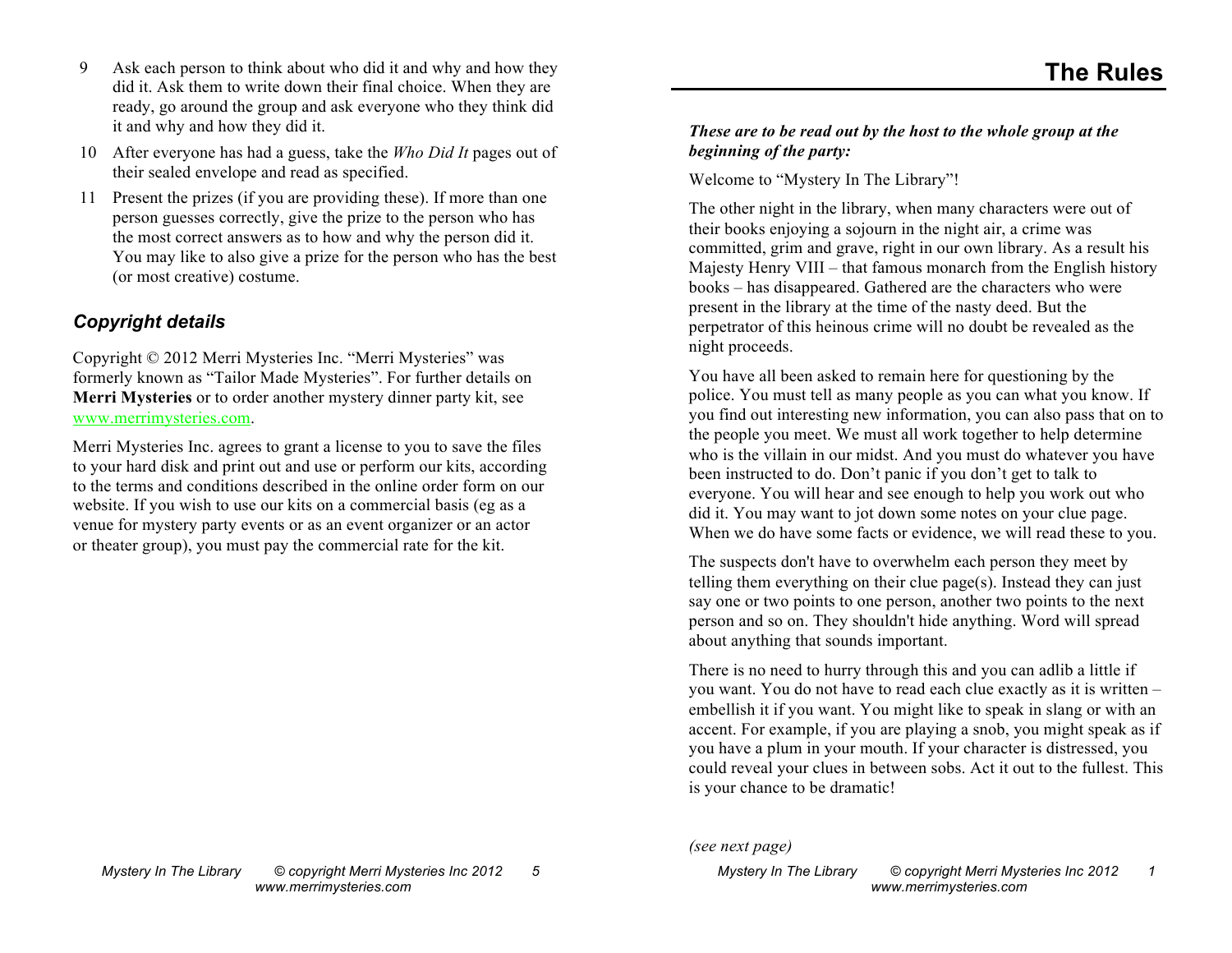- 9 Ask each person to think about who did it and why and how they did it. Ask them to write down their final choice. When they are ready, go around the group and ask everyone who they think did it and why and how they did it.
- 10 After everyone has had a guess, take the *Who Did It* pages out of their sealed envelope and read as specified.
- 11 Present the prizes (if you are providing these). If more than one person guesses correctly, give the prize to the person who has the most correct answers as to how and why the person did it. You may like to also give a prize for the person who has the best (or most creative) costume.

#### *Copyright details*

Copyright © 2012 Merri Mysteries Inc. "Merri Mysteries" was formerly known as "Tailor Made Mysteries". For further details on **Merri Mysteries** or to order another mystery dinner party kit, see www.merrimysteries.com.

Merri Mysteries Inc. agrees to grant a license to you to save the files to your hard disk and print out and use or perform our kits, according to the terms and conditions described in the online order form on our website. If you wish to use our kits on a commercial basis (eg as a venue for mystery party events or as an event organizer or an actor or theater group), you must pay the commercial rate for the kit.

#### *These are to be read out by the host to the whole group at the beginning of the party:*

Welcome to "Mystery In The Library"!

The other night in the library, when many characters were out of their books enjoying a sojourn in the night air, a crime was committed, grim and grave, right in our own library. As a result his Majesty Henry VIII – that famous monarch from the English history books – has disappeared. Gathered are the characters who were present in the library at the time of the nasty deed. But the perpetrator of this heinous crime will no doubt be revealed as the night proceeds.

You have all been asked to remain here for questioning by the police. You must tell as many people as you can what you know. If you find out interesting new information, you can also pass that on to the people you meet. We must all work together to help determine who is the villain in our midst. And you must do whatever you have been instructed to do. Don't panic if you don't get to talk to everyone. You will hear and see enough to help you work out who did it. You may want to jot down some notes on your clue page. When we do have some facts or evidence, we will read these to you.

The suspects don't have to overwhelm each person they meet by telling them everything on their clue page(s). Instead they can just say one or two points to one person, another two points to the next person and so on. They shouldn't hide anything. Word will spread about anything that sounds important.

There is no need to hurry through this and you can adlib a little if you want. You do not have to read each clue exactly as it is written – embellish it if you want. You might like to speak in slang or with an accent. For example, if you are playing a snob, you might speak as if you have a plum in your mouth. If your character is distressed, you could reveal your clues in between sobs. Act it out to the fullest. This is your chance to be dramatic!

*(see next page)*